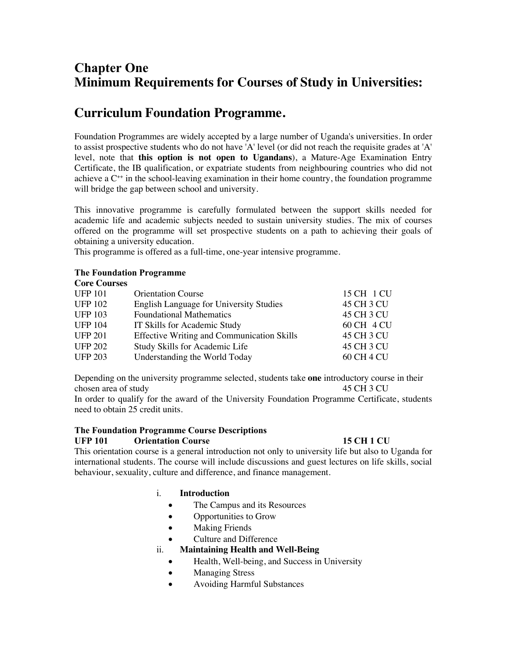# **Chapter One Minimum Requirements for Courses of Study in Universities:**

# **Curriculum Foundation Programme.**

Foundation Programmes are widely accepted by a large number of Uganda's universities. In order to assist prospective students who do not have 'A' level (or did not reach the requisite grades at 'A' level, note that **this option is not open to Ugandans**), a Mature-Age Examination Entry Certificate, the IB qualification, or expatriate students from neighbouring countries who did not achieve a  $C^{++}$  in the school-leaving examination in their home country, the foundation programme will bridge the gap between school and university.

This innovative programme is carefully formulated between the support skills needed for academic life and academic subjects needed to sustain university studies. The mix of courses offered on the programme will set prospective students on a path to achieving their goals of obtaining a university education.

This programme is offered as a full-time, one-year intensive programme.

# **The Foundation Programme**

| <b>Orientation Course</b>                         | 15 CH 1 CU |
|---------------------------------------------------|------------|
| <b>English Language for University Studies</b>    | 45 CH 3 CU |
| <b>Foundational Mathematics</b>                   | 45 CH 3 CU |
| IT Skills for Academic Study                      | 60 CH 4 CU |
| <b>Effective Writing and Communication Skills</b> | 45 CH 3 CU |
| Study Skills for Academic Life                    | 45 CH 3 CU |
| Understanding the World Today                     | 60 CH 4 CU |
|                                                   |            |

Depending on the university programme selected, students take **one** introductory course in their chosen area of study 45 CH 3 CU

In order to qualify for the award of the University Foundation Programme Certificate, students need to obtain 25 credit units.

# **The Foundation Programme Course Descriptions**

#### **UFP 101 Orientation Course 15 CH 1 CU**

This orientation course is a general introduction not only to university life but also to Uganda for international students. The course will include discussions and guest lectures on life skills, social behaviour, sexuality, culture and difference, and finance management.

# i. **Introduction**

- The Campus and its Resources
- Opportunities to Grow
- Making Friends
- Culture and Difference

# ii. **Maintaining Health and Well-Being**

- Health, Well-being, and Success in University
- Managing Stress
- Avoiding Harmful Substances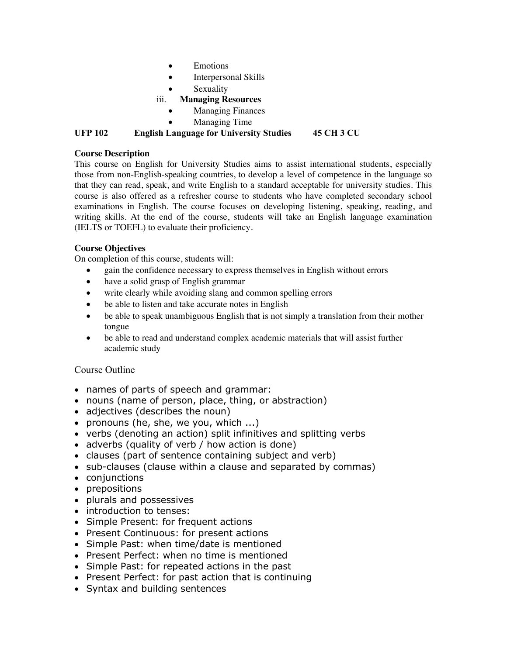- Emotions
- Interpersonal Skills
- **Sexuality**
- iii. **Managing Resources**
	- **Managing Finances**
	- Managing Time

**UFP 102 English Language for University Studies 45 CH 3 CU**

# **Course Description**

This course on English for University Studies aims to assist international students, especially those from non-English-speaking countries, to develop a level of competence in the language so that they can read, speak, and write English to a standard acceptable for university studies. This course is also offered as a refresher course to students who have completed secondary school examinations in English. The course focuses on developing listening, speaking, reading, and writing skills. At the end of the course, students will take an English language examination (IELTS or TOEFL) to evaluate their proficiency.

# **Course Objectives**

On completion of this course, students will:

- gain the confidence necessary to express themselves in English without errors
- have a solid grasp of English grammar
- write clearly while avoiding slang and common spelling errors
- be able to listen and take accurate notes in English
- be able to speak unambiguous English that is not simply a translation from their mother tongue
- be able to read and understand complex academic materials that will assist further academic study

# Course Outline

- names of parts of speech and grammar:
- nouns (name of person, place, thing, or abstraction)
- adjectives (describes the noun)
- pronouns (he, she, we you, which ...)
- verbs (denoting an action) split infinitives and splitting verbs
- adverbs (quality of verb / how action is done)
- clauses (part of sentence containing subject and verb)
- sub-clauses (clause within a clause and separated by commas)
- conjunctions
- prepositions
- plurals and possessives
- introduction to tenses:
- Simple Present: for frequent actions
- Present Continuous: for present actions
- Simple Past: when time/date is mentioned
- Present Perfect: when no time is mentioned
- Simple Past: for repeated actions in the past
- Present Perfect: for past action that is continuing
- Syntax and building sentences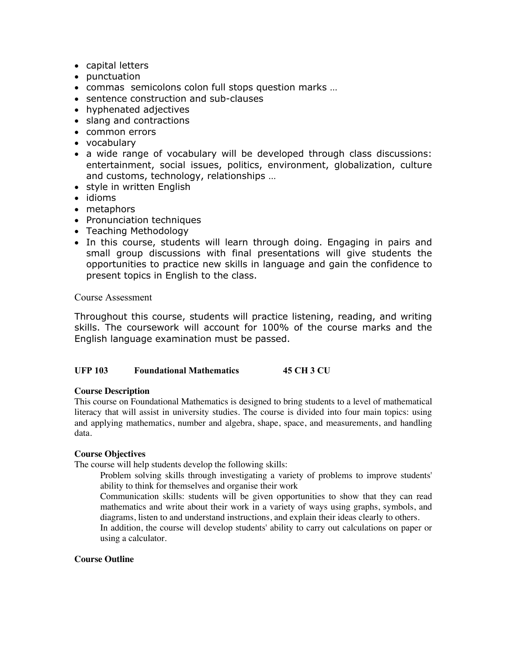- capital letters
- punctuation
- commas semicolons colon full stops question marks …
- sentence construction and sub-clauses
- hyphenated adjectives
- slang and contractions
- common errors
- vocabulary
- a wide range of vocabulary will be developed through class discussions: entertainment, social issues, politics, environment, globalization, culture and customs, technology, relationships …
- style in written English
- idioms
- metaphors
- Pronunciation techniques
- Teaching Methodology
- In this course, students will learn through doing. Engaging in pairs and small group discussions with final presentations will give students the opportunities to practice new skills in language and gain the confidence to present topics in English to the class.

Course Assessment

Throughout this course, students will practice listening, reading, and writing skills. The coursework will account for 100% of the course marks and the English language examination must be passed.

# **UFP 103 Foundational Mathematics 45 CH 3 CU**

#### **Course Description**

This course on Foundational Mathematics is designed to bring students to a level of mathematical literacy that will assist in university studies. The course is divided into four main topics: using and applying mathematics, number and algebra, shape, space, and measurements, and handling data.

#### **Course Objectives**

The course will help students develop the following skills:

Problem solving skills through investigating a variety of problems to improve students' ability to think for themselves and organise their work

Communication skills: students will be given opportunities to show that they can read mathematics and write about their work in a variety of ways using graphs, symbols, and diagrams, listen to and understand instructions, and explain their ideas clearly to others.

In addition, the course will develop students' ability to carry out calculations on paper or using a calculator.

# **Course Outline**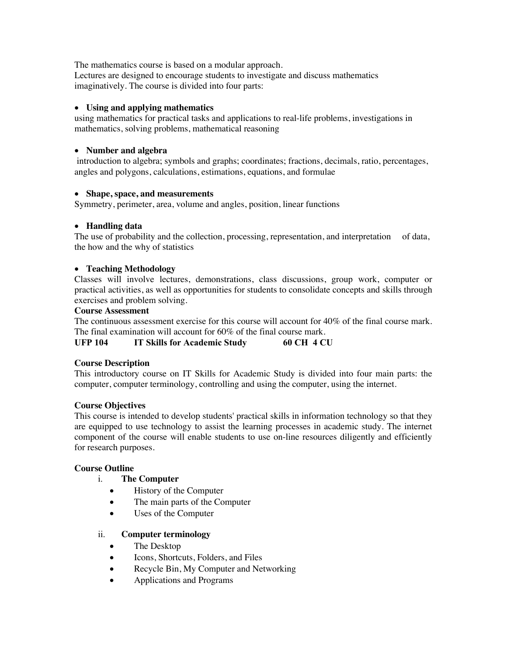The mathematics course is based on a modular approach.

Lectures are designed to encourage students to investigate and discuss mathematics imaginatively. The course is divided into four parts:

# • **Using and applying mathematics**

using mathematics for practical tasks and applications to real-life problems, investigations in mathematics, solving problems, mathematical reasoning

#### • **Number and algebra**

introduction to algebra; symbols and graphs; coordinates; fractions, decimals, ratio, percentages, angles and polygons, calculations, estimations, equations, and formulae

#### • **Shape, space, and measurements**

Symmetry, perimeter, area, volume and angles, position, linear functions

#### • **Handling data**

The use of probability and the collection, processing, representation, and interpretation of data, the how and the why of statistics

#### • **Teaching Methodology**

Classes will involve lectures, demonstrations, class discussions, group work, computer or practical activities, as well as opportunities for students to consolidate concepts and skills through exercises and problem solving.

#### **Course Assessment**

The continuous assessment exercise for this course will account for 40% of the final course mark. The final examination will account for 60% of the final course mark.

**UFP 104 IT Skills for Academic Study 60 CH 4 CU**

# **Course Description**

This introductory course on IT Skills for Academic Study is divided into four main parts: the computer, computer terminology, controlling and using the computer, using the internet.

# **Course Objectives**

This course is intended to develop students' practical skills in information technology so that they are equipped to use technology to assist the learning processes in academic study. The internet component of the course will enable students to use on-line resources diligently and efficiently for research purposes.

# **Course Outline**

# i. **The Computer**

- History of the Computer
- The main parts of the Computer
- Uses of the Computer

# ii. **Computer terminology**

- The Desktop
- Icons, Shortcuts, Folders, and Files
- Recycle Bin, My Computer and Networking
- Applications and Programs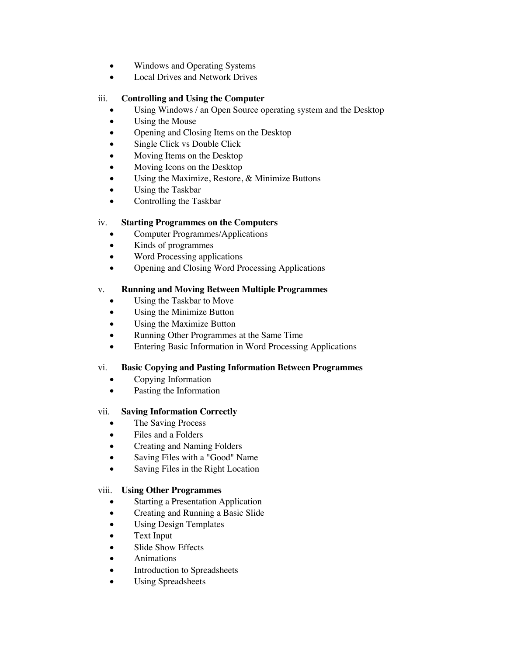- Windows and Operating Systems
- Local Drives and Network Drives

# iii. **Controlling and Using the Computer**

- Using Windows / an Open Source operating system and the Desktop
- Using the Mouse
- Opening and Closing Items on the Desktop
- Single Click vs Double Click
- Moving Items on the Desktop
- Moving Icons on the Desktop
- Using the Maximize, Restore, & Minimize Buttons
- Using the Taskbar
- Controlling the Taskbar

# iv. **Starting Programmes on the Computers**

- Computer Programmes/Applications
- Kinds of programmes
- Word Processing applications
- Opening and Closing Word Processing Applications

# v. **Running and Moving Between Multiple Programmes**

- Using the Taskbar to Move
- Using the Minimize Button
- Using the Maximize Button
- Running Other Programmes at the Same Time
- Entering Basic Information in Word Processing Applications

# vi. **Basic Copying and Pasting Information Between Programmes**

- Copying Information
- Pasting the Information

# vii. **Saving Information Correctly**

- The Saving Process
- Files and a Folders
- Creating and Naming Folders
- Saving Files with a "Good" Name
- Saving Files in the Right Location

# viii. **Using Other Programmes**

- **Starting a Presentation Application**
- Creating and Running a Basic Slide
- Using Design Templates
- Text Input
- Slide Show Effects
- Animations
- Introduction to Spreadsheets
- Using Spreadsheets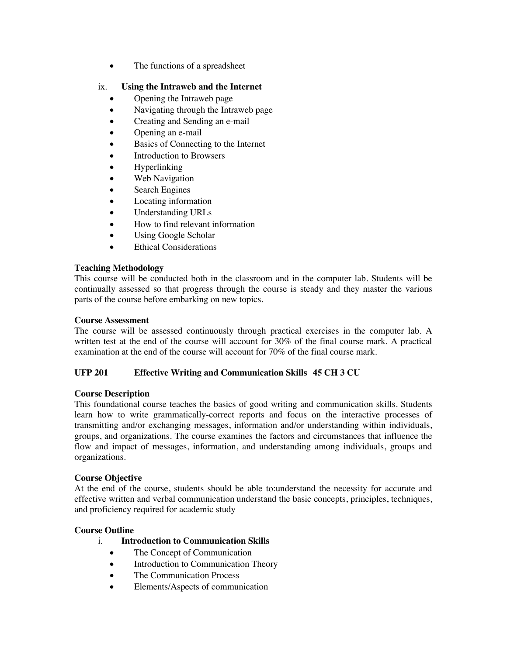• The functions of a spreadsheet

# ix. **Using the Intraweb and the Internet**

- Opening the Intraweb page
- Navigating through the Intraweb page
- Creating and Sending an e-mail
- Opening an e-mail
- Basics of Connecting to the Internet
- Introduction to Browsers
- Hyperlinking
- Web Navigation
- Search Engines
- Locating information
- Understanding URLs
- How to find relevant information
- Using Google Scholar
- Ethical Considerations

# **Teaching Methodology**

This course will be conducted both in the classroom and in the computer lab. Students will be continually assessed so that progress through the course is steady and they master the various parts of the course before embarking on new topics.

# **Course Assessment**

The course will be assessed continuously through practical exercises in the computer lab. A written test at the end of the course will account for 30% of the final course mark. A practical examination at the end of the course will account for 70% of the final course mark.

# **UFP 201 Effective Writing and Communication Skills 45 CH 3 CU**

# **Course Description**

This foundational course teaches the basics of good writing and communication skills. Students learn how to write grammatically-correct reports and focus on the interactive processes of transmitting and/or exchanging messages, information and/or understanding within individuals, groups, and organizations. The course examines the factors and circumstances that influence the flow and impact of messages, information, and understanding among individuals, groups and organizations.

# **Course Objective**

At the end of the course, students should be able to:understand the necessity for accurate and effective written and verbal communication understand the basic concepts, principles, techniques, and proficiency required for academic study

# **Course Outline**

- i. **Introduction to Communication Skills**
	- The Concept of Communication
	- Introduction to Communication Theory
	- The Communication Process
	- Elements/Aspects of communication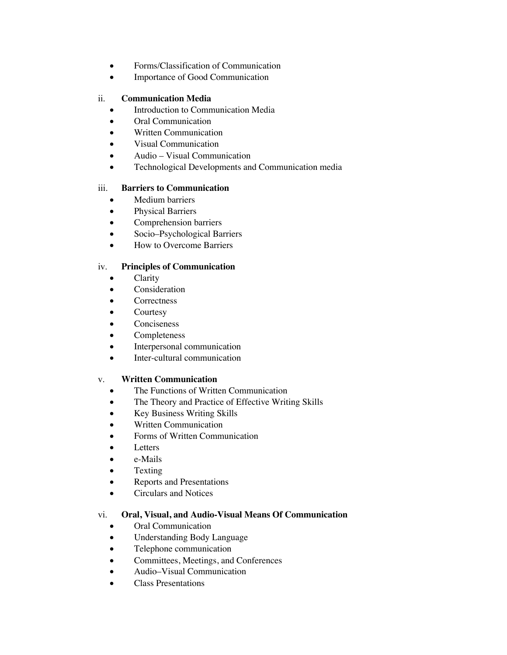- Forms/Classification of Communication
- Importance of Good Communication

# ii. **Communication Media**

- Introduction to Communication Media
- Oral Communication
- Written Communication
- Visual Communication
- Audio Visual Communication
- Technological Developments and Communication media

#### iii. **Barriers to Communication**

- Medium barriers
- Physical Barriers
- Comprehension barriers
- Socio–Psychological Barriers
- How to Overcome Barriers

# iv. **Principles of Communication**

- Clarity
- Consideration
- **Correctness**
- **Courtesy**
- **Conciseness**
- Completeness
- Interpersonal communication
- Inter-cultural communication

# v. **Written Communication**

- The Functions of Written Communication
- The Theory and Practice of Effective Writing Skills
- Key Business Writing Skills
- Written Communication
- Forms of Written Communication
- **Letters**
- e-Mails
- **Texting**
- Reports and Presentations
- Circulars and Notices

# vi. **Oral, Visual, and Audio-Visual Means Of Communication**

- Oral Communication
- Understanding Body Language
- Telephone communication
- Committees, Meetings, and Conferences
- Audio–Visual Communication
- Class Presentations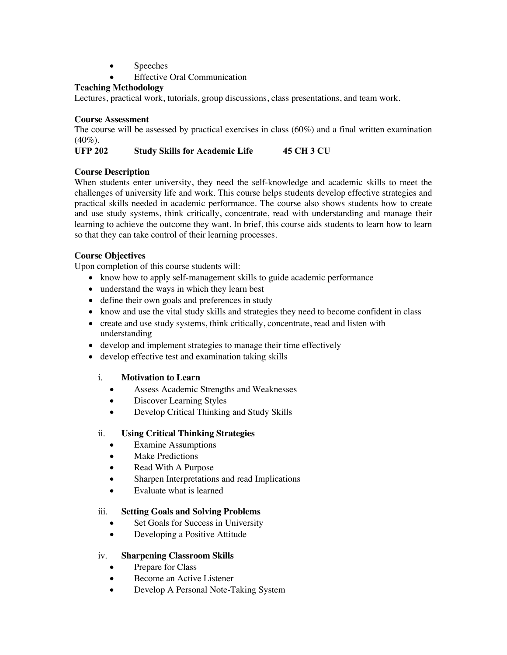- Speeches
- **Effective Oral Communication**

# **Teaching Methodology**

Lectures, practical work, tutorials, group discussions, class presentations, and team work.

# **Course Assessment**

The course will be assessed by practical exercises in class (60%) and a final written examination  $(40\%).$ 

# **UFP 202 Study Skills for Academic Life 45 CH 3 CU**

# **Course Description**

When students enter university, they need the self-knowledge and academic skills to meet the challenges of university life and work. This course helps students develop effective strategies and practical skills needed in academic performance. The course also shows students how to create and use study systems, think critically, concentrate, read with understanding and manage their learning to achieve the outcome they want. In brief, this course aids students to learn how to learn so that they can take control of their learning processes.

# **Course Objectives**

Upon completion of this course students will:

- know how to apply self-management skills to guide academic performance
- understand the ways in which they learn best
- define their own goals and preferences in study
- know and use the vital study skills and strategies they need to become confident in class
- create and use study systems, think critically, concentrate, read and listen with understanding
- develop and implement strategies to manage their time effectively
- develop effective test and examination taking skills

# i. **Motivation to Learn**

- Assess Academic Strengths and Weaknesses
- Discover Learning Styles
- Develop Critical Thinking and Study Skills

# ii. **Using Critical Thinking Strategies**

- Examine Assumptions
- **Make Predictions**
- Read With A Purpose
- Sharpen Interpretations and read Implications
- Evaluate what is learned

# iii. **Setting Goals and Solving Problems**

- Set Goals for Success in University
- Developing a Positive Attitude

# iv. **Sharpening Classroom Skills**

- Prepare for Class
- Become an Active Listener
- Develop A Personal Note-Taking System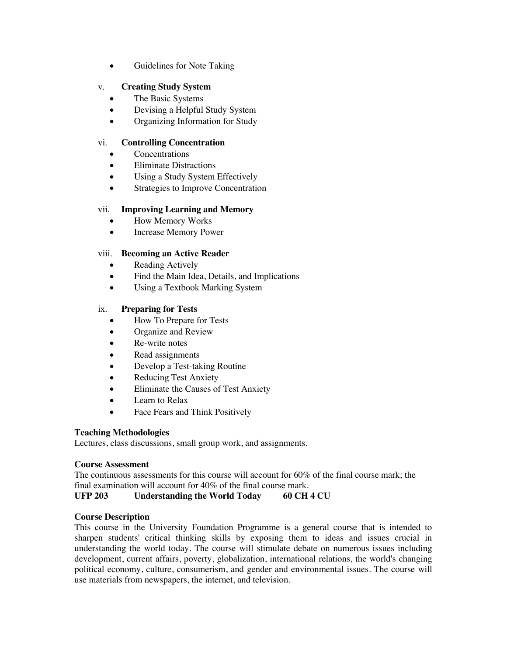• Guidelines for Note Taking

# v. **Creating Study System**

- The Basic Systems
- Devising a Helpful Study System
- Organizing Information for Study

# vi. **Controlling Concentration**

- **Concentrations**
- Eliminate Distractions
- Using a Study System Effectively
- Strategies to Improve Concentration

# vii. **Improving Learning and Memory**

- How Memory Works
- Increase Memory Power

# viii. **Becoming an Active Reader**

- Reading Actively
- Find the Main Idea, Details, and Implications
- Using a Textbook Marking System

# ix. **Preparing for Tests**

- How To Prepare for Tests
- Organize and Review
- Re-write notes
- Read assignments
- Develop a Test-taking Routine
- Reducing Test Anxiety
- Eliminate the Causes of Test Anxiety
- Learn to Relax
- Face Fears and Think Positively

# **Teaching Methodologies**

Lectures, class discussions, small group work, and assignments.

# **Course Assessment**

The continuous assessments for this course will account for  $60\%$  of the final course mark; the final examination will account for 40% of the final course mark.

**UFP 203 Understanding the World Today 60 CH 4 CU**

# **Course Description**

This course in the University Foundation Programme is a general course that is intended to sharpen students' critical thinking skills by exposing them to ideas and issues crucial in understanding the world today. The course will stimulate debate on numerous issues including development, current affairs, poverty, globalization, international relations, the world's changing political economy, culture, consumerism, and gender and environmental issues. The course will use materials from newspapers, the internet, and television.